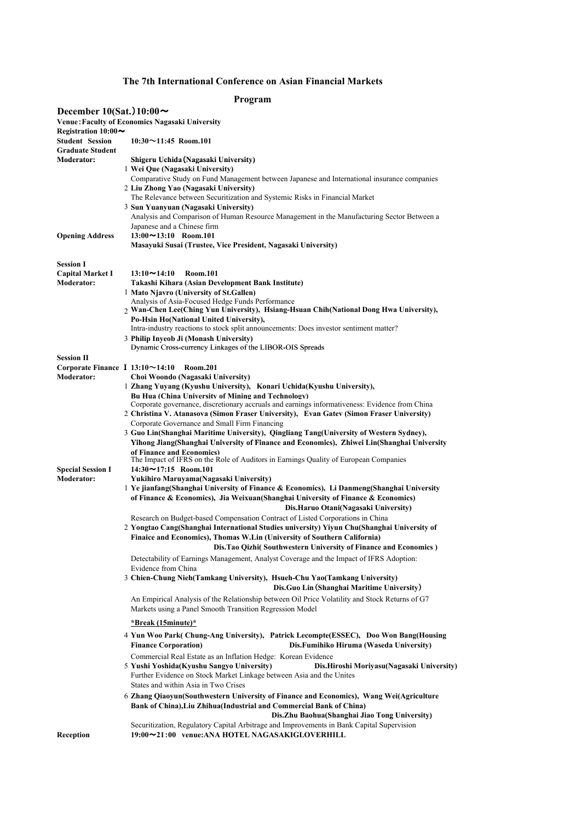## **The 7th International Conference on Asian Financial Markets**

## **Program**

| December 10(Sat.) $10:00 \sim$                    | <b>Venue: Faculty of Economics Nagasaki University</b>                                                                                       |
|---------------------------------------------------|----------------------------------------------------------------------------------------------------------------------------------------------|
| Registration $10:00 \sim$                         |                                                                                                                                              |
| <b>Student Session</b><br><b>Graduate Student</b> | $10:30 \sim 11:45$ Room.101                                                                                                                  |
| <b>Moderator:</b>                                 | Shigeru Uchida (Nagasaki University)                                                                                                         |
|                                                   | 1 Wei Que (Nagasaki University)                                                                                                              |
|                                                   | Comparative Study on Fund Management between Japanese and International insurance companies                                                  |
|                                                   | 2 Liu Zhong Yao (Nagasaki University)                                                                                                        |
|                                                   | The Relevance between Securitization and Systemic Risks in Financial Market                                                                  |
|                                                   | 3 Sun Yuanyuan (Nagasaki University)                                                                                                         |
|                                                   | Analysis and Comparison of Human Resource Management in the Manufacturing Sector Between a                                                   |
|                                                   | Japanese and a Chinese firm                                                                                                                  |
| <b>Opening Address</b>                            | $13:00 \sim 13:10$ Room.101                                                                                                                  |
|                                                   | Masayuki Susai (Trustee, Vice President, Nagasaki University)                                                                                |
| <b>Session I</b>                                  |                                                                                                                                              |
| <b>Capital Market I</b>                           | Room.101<br>$13:10 \sim 14:10$                                                                                                               |
| <b>Moderator:</b>                                 | Takashi Kihara (Asian Development Bank Institute)                                                                                            |
|                                                   | 1 Mato Njavro (University of St.Gallen)                                                                                                      |
|                                                   | Analysis of Asia-Focused Hedge Funds Performance                                                                                             |
|                                                   | 2 Wan-Chen Lee(Ching Yun University), Hsiang-Hsuan Chih(National Dong Hwa University),                                                       |
|                                                   | Po-Hsin Ho(National United University),                                                                                                      |
|                                                   | Intra-industry reactions to stock split announcements: Does investor sentiment matter?                                                       |
|                                                   | 3 Philip Inyeob Ji (Monash University)<br>Dynamic Cross-currency Linkages of the LIBOR-OIS Spreads                                           |
| <b>Session II</b>                                 |                                                                                                                                              |
| Corporate Finance $I$ 13:10 $\sim$ 14:10          | <b>Room.201</b>                                                                                                                              |
| <b>Moderator:</b>                                 | Choi Woondo (Nagasaki University)                                                                                                            |
|                                                   | 1 Zhang Yuyang (Kyushu University), Konari Uchida(Kyushu University),                                                                        |
|                                                   | <b>Bu Hua (China University of Mining and Technology)</b>                                                                                    |
|                                                   | Corporate governance, discretionary accruals and earnings informativeness: Evidence from China                                               |
|                                                   | 2 Christina V. Atanasova (Simon Fraser University), Evan Gatev (Simon Fraser University)                                                     |
|                                                   | Corporate Governance and Small Firm Financing                                                                                                |
|                                                   | 3 Guo Lin(Shanghai Maritime University), Qingliang Tang(University of Western Sydney),                                                       |
|                                                   | Yihong Jiang(Shanghai University of Finance and Economics), Zhiwei Lin(Shanghai University                                                   |
|                                                   | of Finance and Economics)                                                                                                                    |
|                                                   | The Impact of IFRS on the Role of Auditors in Earnings Quality of European Companies                                                         |
| <b>Special Session I</b><br><b>Moderator:</b>     | $14:30 \sim 17:15$ Room.101                                                                                                                  |
|                                                   | Yukihiro Maruyama(Nagasaki University)<br>1 Ye jianfang(Shanghai University of Finance & Economics), Li Danmeng(Shanghai University          |
|                                                   | of Finance & Economics), Jia Weixuan (Shanghai University of Finance & Economics)                                                            |
|                                                   | Dis.Haruo Otani(Nagasaki University)                                                                                                         |
|                                                   | Research on Budget-based Compensation Contract of Listed Corporations in China                                                               |
|                                                   | 2 Yongtao Cang(Shanghai International Studies university) Yiyun Chu(Shanghai University of                                                   |
|                                                   | Finaice and Economics), Thomas W.Lin (University of Southern California)                                                                     |
|                                                   | Dis.Tao Qizhi(Southwestern University of Finance and Economics)                                                                              |
|                                                   |                                                                                                                                              |
|                                                   | Detectability of Earnings Management, Analyst Coverage and the Impact of IFRS Adoption:                                                      |
|                                                   | Evidence from China<br>3 Chien-Chung Nieh(Tamkang University), Hsueh-Chu Yao(Tamkang University)                                             |
|                                                   | Dis. Guo Lin (Shanghai Maritime University)                                                                                                  |
|                                                   |                                                                                                                                              |
|                                                   | An Empirical Analysis of the Relationship between Oil Price Volatility and Stock Returns of G7                                               |
|                                                   | Markets using a Panel Smooth Transition Regression Model                                                                                     |
|                                                   | <u>*Break (15minute)*</u>                                                                                                                    |
|                                                   | 4 Yun Woo Park(Chung-Ang University), Patrick Lecompte(ESSEC), Doo Won Bang(Housing                                                          |
|                                                   | <b>Finance Corporation)</b><br>Dis.Fumihiko Hiruma (Waseda University)                                                                       |
|                                                   | Commercial Real Estate as an Inflation Hedge: Korean Evidence                                                                                |
|                                                   | 5 Yushi Yoshida(Kyushu Sangyo University)<br>Dis.Hiroshi Moriyasu(Nagasaki University)                                                       |
|                                                   | Further Evidence on Stock Market Linkage between Asia and the Unites                                                                         |
|                                                   | States and within Asia in Two Crises                                                                                                         |
|                                                   | 6 Zhang Qiaoyun(Southwestern University of Finance and Economics), Wang Wei(Agriculture                                                      |
|                                                   | Bank of China), Liu Zhihua (Industrial and Commercial Bank of China)                                                                         |
|                                                   | Dis. Zhu Baohua (Shanghai Jiao Tong University)<br>Securitization, Regulatory Capital Arbitrage and Improvements in Bank Capital Supervision |
| Reception                                         | 19:00~21:00 venue: ANA HOTEL NAGASAKIGLOVERHILL                                                                                              |
|                                                   |                                                                                                                                              |